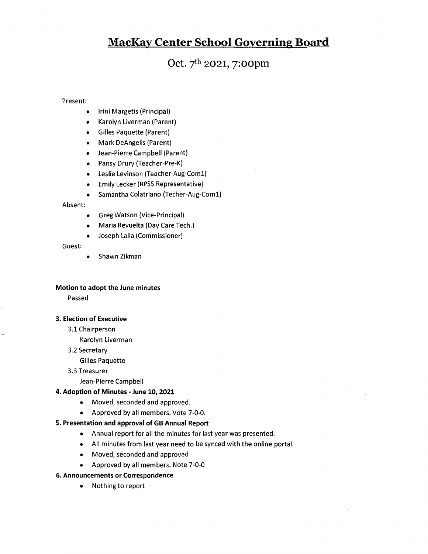# MacKav Center School Governine Board

Oct. 7th 2021, 7: oopm

Present:

- Irini Margetis (Principal)  $\bullet$
- Karolyn Liverman (Parent)  $\bullet$
- Gilles Paquette (Parent)
- Mark DeAngelis (Parent)  $\bullet$
- Jean-Pierre Campbell (Parent)
- Pansy Drury (Teacher-Pre-K)
- Leslie Levinson (Teacher-Aug-Coml)
- Emily Lecker (RPSS Representative)
- $\bullet$ Samantha Colatriano (Techer-Aug-Coml)

Absent:

- Greg Watson (Vice-Principat)  $\bullet$
- Maria Revuelta (Day Care Tech.)  $\bullet$
- Joseph Lalla (Commissioner)  $\bullet$

Guest:

Shawn Zikman  $\bullet$ 

#### Motion to adopt the June minutes

Passed

### 3. Election of Executive

3.1 Chairperson

Karolyn Liverman

3.2 Secretary

Gilles Paquette

3.3Treasurer

Jean-Pierre Campbell

### 4. Adoption of Minutes - June 10,2021

- Moved, seconded and approved.
- Approved by all members. Vote 7-0-0.

### 5. Presentation and approval of GB Annual Report

- Annual report for all the minutes for last year was presented.
- All minutes from last year need to be synced with the online portal.
- Moved, seconded and approved
- Approved by all members. Note 7-0-0

### 6. Announcements or Correspondence

• Nothing to report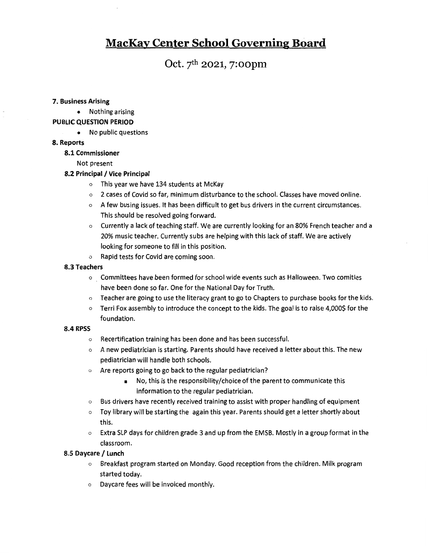# MacKav Center School Governine Board

# Oct. 7th 2021, 7:oopm

#### 7. Business Arising

<sup>a</sup> Nothingarising

### PUBLIC QUESTION PERIOD

• No public questions

### 8. Reports

#### 8.1 Commissioner

Not present

### 8.2 Principal / Vice Principal

- <sup>o</sup> This year we have 134 students at McKay
- <sup>o</sup> 2 cases of Covid so far, minimum disturbance to the school. Classes have moved online.
- <sup>o</sup> A few busing issues. It has been difficult to get bus drivers in the current circumstances. This should be resolved going forward.
- $\circ$  Currently a lack of teaching staff. We are currently looking for an 80% French teacher and a 20% music teacher. Currently subs are helping with this lack of staff. We are actively looking for someone to fill in this position.
- <sup>o</sup> Rapid tests for Covid are coming soon.

#### 8.3 Teachers

- <sup>o</sup> Committees have been formed for school wide events such as Halloween. Two comities have been done so far. One for the National Day for Truth.
- <sup>o</sup> Teacher are going to use the literacy grant to go to Chapters to purchase books for the kids.
- $\circ$  Terri Fox assembly to introduce the concept to the kids. The goal is to raise 4,000\$ for the foundation.

#### 8.4 RPSS

- <sup>o</sup> Recertification training has been done and has been successful.
- <sup>o</sup> A new pediatrician is starting. Parents should have received <sup>a</sup> letter about this. The new pediatrician will handle both schools.
- <sup>o</sup> Are reports going to go back to the regular pediatrician?
	- No, this is the responsibility/choice ofthe parent to communicate this information to the regular pediatrician.
- <sup>o</sup> Bus drivers have recently received training to assist with proper handling of equipment
- <sup>o</sup> Toy library will be starting the again this year. Parents should get <sup>a</sup> letter shortly about this.
- $\circ$  Extra SLP days for children grade 3 and up from the EMSB. Mostly in a group format in the ciassroom.

### 8.5 Daycare / Lunch

- <sup>o</sup> Breakfast program started on Monday. Good reception from the children. Milk program started today.
- o Daycare fees will be invoiced monthly.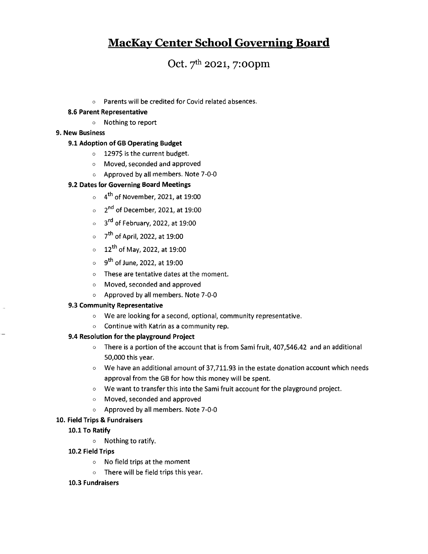# MacKav Center School Governine Board

# Oct. 7th 2021, 7:oopm

<sup>o</sup> Parents will be credited for Covid related absences.

### 8.6 Parent Representative

<sup>o</sup> Nothingto report

### 9. New Business

## 9.1 Adoption of GB Operating Budget

- <sup>o</sup> 1297\$ is the current budget.
- o Moved, seconded and approved
- o Approved by all members. Note 7-0-0

## 9.2 Dates for Governing Board Meetings

- $\circ$  4<sup>th</sup> of November, 2021, at 19:00
- $\circ$  2<sup>nd</sup> of December, 2021, at 19:00
- $\circ$  3<sup>rd</sup> of February, 2022, at 19:00
- $\circ$  7<sup>th</sup> of April, 2022, at 19:00
- $\circ$  12<sup>th</sup> of May, 2022, at 19:00
- $\circ$  9<sup>th</sup> of June, 2022, at 19:00
- <sup>o</sup> These are tentative dates at the moment.
- <sup>o</sup> Moved, seconded and approved
- <sup>o</sup> Approved by all members. Note 7-0-0

### 9.3 Community Representative

- <sup>o</sup> We are looking for <sup>a</sup> second, optional, community representative.
- o Continue with Katrin as <sup>a</sup> community rep.

### 9.4 Resolution for the playground Project

- $\circ$  There is a portion of the account that is from Sami fruit, 407,546.42 and an additional 50,000 this year.
- $\circ$  We have an additional amount of 37,711.93 in the estate donation account which needs approval from the GB for how this money will be spent.
- <sup>o</sup> We want to transfer this into the Sami fruit account for the playground project.
- <sup>o</sup> Moved,seconded and approved
- <sup>o</sup> Approved by all members. Note 7-0-0

### 10. Field Trips & Fundraisers

### 10.1 To Ratify

<sup>o</sup> Nothing to ratify.

### 10.2 Field Trips

- $\circ$  No field trips at the moment
- $\circ$  There will be field trips this year.

### 10.3 Fundraisers